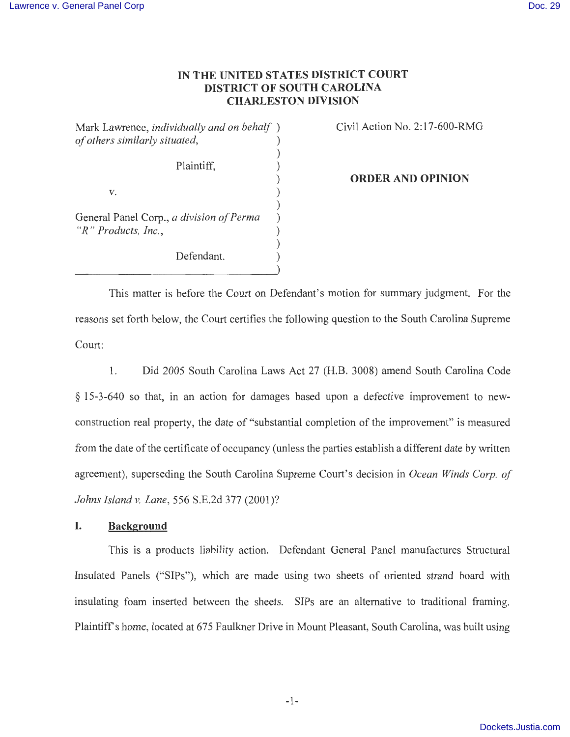## **IN THE UNITED STATES DISTRICT COURT DISTRICT OF SOUTH CAROLINA CHARLESTON DIVISION**

)

)

)

Mark Lawrence, *individually and on behalf* ) *of others similarly situated,* ) )

Plaintiff, )

 $V.$  )

General Panel Corp., *a division of Perma* ) *"R " Products, Inc.,* )

Defendant.

Civil Action No. 2: 17-600-RMG

**ORDER AND OPINION** 

This matter is before the Court on Defendant's motion for summary judgment. For the reasons set forth below, the Court certifies the following question to the South Carolina Supreme Court:

1. Did 2005 South Carolina Laws Act 27 (H.B. 3008) amend South Carolina Code § 15-3-640 so that, in an action for damages based upon a defective improvement to newconstruction real property, the date of "substantial completion of the improvement" is measured from the date of the certificate of occupancy (unless the parties establish a different date by written agreement), superseding the South Carolina Supreme Court's decision in *Ocean Winds Corp. of Johns Island v. Lane,* 556 S.E.2d 377 (2001)?

#### **I. Background**

This is a products liability action. Defendant General Panel manufactures Structural Insulated Panels ("SIPs"), which are made using two sheets of oriented strand board with insulating foam inserted between the sheets. SIPs are an alternative to traditional framing. Plaintiff's home, located at 675 Faulkner Drive in Mount Pleasant, South Carolina, was built using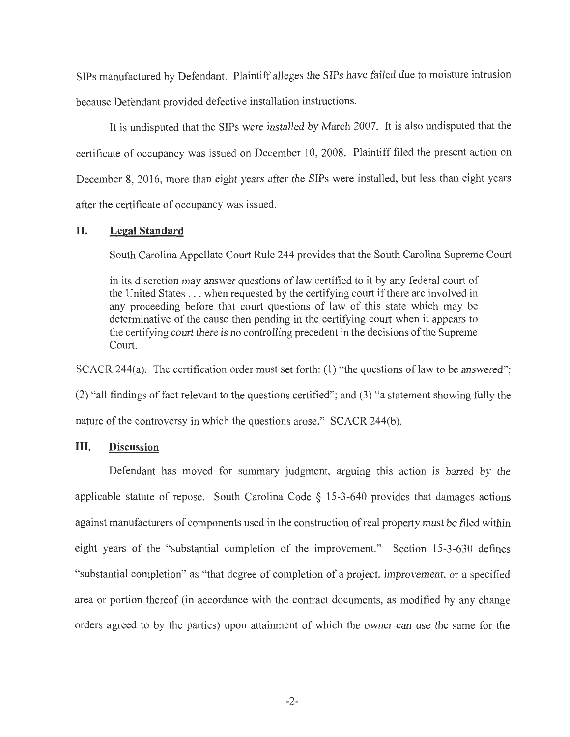SIPs manufactured by Defendant. Plaintiff alleges the SIPs have failed due to moisture intrusion because Defendant provided defective installation instructions.

It is undisputed that the SIPs were installed by March 2007. It is also undisputed that the certificate of occupancy was issued on December 10, 2008. Plaintiff filed the present action on December 8, 2016, more than eight years after the SIPs were installed, but less than eight years after the certificate of occupancy was issued.

## **II. Legal Standard**

South Carolina Appellate Court Rule 244 provides that the South Carolina Supreme Court

in its discretion may answer questions of law certified to it by any federal court of the United States . . . when requested by the certifying court if there are involved in any proceeding before that court questions of law of this state which may be determinative of the cause then pending in the certifying court when it appears to the certifying court there is no controlling precedent in the decisions of the Supreme Court.

SCACR 244(a). The certification order must set forth:  $(1)$  "the questions of law to be answered";

(2) "all findings of fact relevant to the questions certified"; and (3) "a statement showing fully the nature of the controversy in which the questions arose." SCACR 244(b).

#### **III. Discussion**

Defendant has moved for summary judgment, arguing this action is barred by the applicable statute of repose. South Carolina Code  $\S$  15-3-640 provides that damages actions against manufacturers of components used in the construction of real property must be filed within eight years of the "substantial completion of the improvement." Section 15-3-630 defines "substantial completion" as "that degree of completion of a project, improvement, or a specified area or portion thereof (in accordance with the contract documents, as modified by any change orders agreed to by the parties) upon attainment of which the owner can use the same for the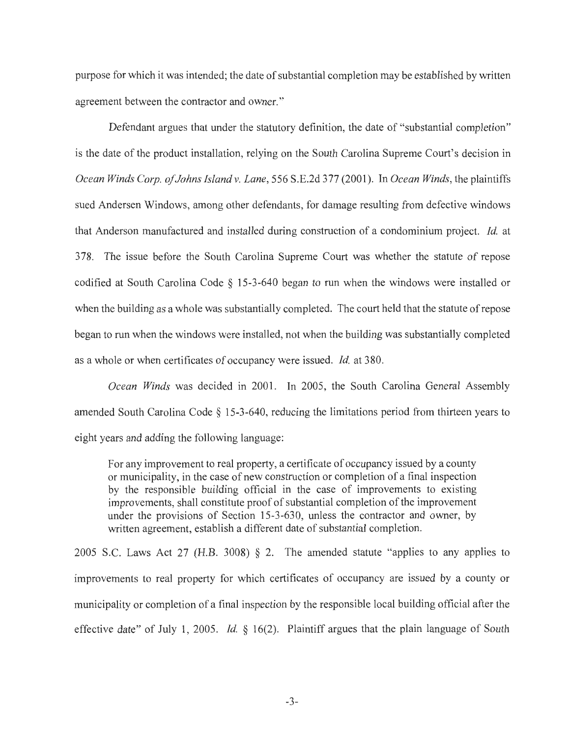purpose for which it was intended; the date of substantial completion may be established by written agreement between the contractor and owner."

Defendant argues that under the statutory definition, the date of "substantial completion" is the date of the product installation, relying on the South Carolina Supreme Court's decision in *Ocean Winds Corp. of Johns Island v. Lane,* 556 S.E.2d 377(2001 ). In *Ocean Winds,* the plaintiffs sued Andersen Windows, among other defendants, for damage resulting from defective windows that Anderson manufactured and installed during construction of a condominium project. *Id.* at 378. The issue before the South Carolina Supreme Court was whether the statute of repose codified at South Carolina Code § 15-3-640 began to run when the windows were installed or when the building as a whole was substantially completed. The court held that the statute of repose began to run when the windows were installed, not when the building was substantially completed as a whole or when certificates of occupancy were issued. *Id.* at 380.

*Ocean Winds* was decided in 2001. In 2005, the South Carolina General Assembly amended South Carolina Code§ 15-3-640, reducing the limitations period from thirteen years to eight years and adding the following language:

For any improvement to real property, a certificate of occupancy issued by a county or municipality, in the case of new construction or completion of a final inspection by the responsible building official in the case of improvements to existing improvements, shall constitute proof of substantial completion of the improvement under the provisions of Section 15-3-630, unless the contractor and owner, by written agreement, establish a different date of substantial completion.

2005 S.C. Laws Act 27 (H.B. 3008)  $\S$  2. The amended statute "applies to any applies to improvements to real property for which certificates of occupancy are issued by a county or municipality or completion of a final inspection by the responsible local building official after the effective date" of July 1, 2005. *Id.* § 16(2). Plaintiff argues that the plain language of South

-3-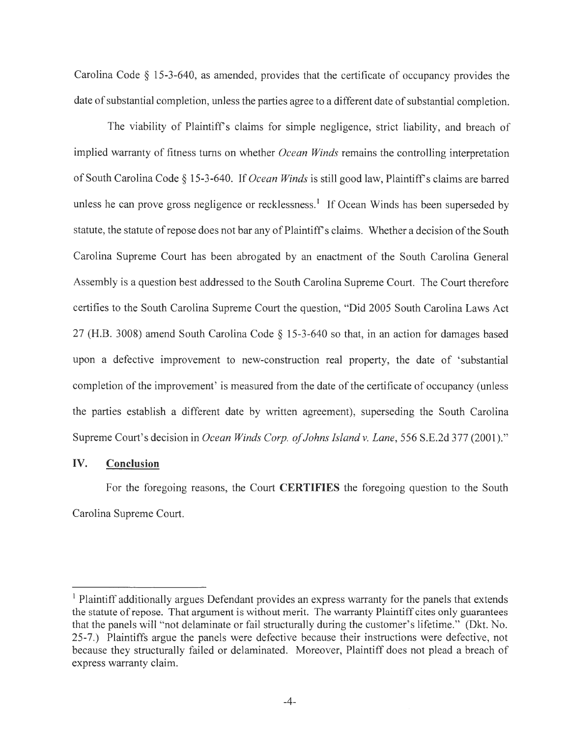Carolina Code § 15-3-640, as amended, provides that the certificate of occupancy provides the date of substantial completion, unless the parties agree to a different date of substantial completion.

The viability of Plaintiff's claims for simple negligence, strict liability, and breach of implied warranty of fitness turns on whether *Ocean Winds* remains the controlling interpretation of South Carolina Code§ 15-3-640. If *Ocean Winds* is still good law, Plaintiffs claims are barred unless he can prove gross negligence or recklessness.<sup>1</sup> If Ocean Winds has been superseded by statute, the statute of repose does not bar any of Plaintiff's claims. Whether a decision of the South Carolina Supreme Court has been abrogated by an enactment of the South Carolina General Assembly is a question best addressed to the South Carolina Supreme Court. The Court therefore certifies to the South Carolina Supreme Court the question, "Did 2005 South Carolina Laws Act 27 (H.B. 3008) amend South Carolina Code § 15-3-640 so that, in an action for damages based upon a defective improvement to new-construction real property, the date of 'substantial completion of the improvement' is measured from the date of the certificate of occupancy (unless the parties establish a different date by written agreement), superseding the South Carolina Supreme Court's decision in *Ocean Winds Corp. of Johns Island v. Lane,* 556 S.E.2d 377 (2001)."

## IV. **Conclusion**

For the foregoing reasons, the Court **CERTIFIES** the foregoing question to the South Carolina Supreme Court.

<sup>&</sup>lt;sup>1</sup> Plaintiff additionally argues Defendant provides an express warranty for the panels that extends the statute of repose. That argument is without merit. The warranty Plaintiff cites only guarantees that the panels will "not delaminate or fail structurally during the customer's lifetime." (Dkt. No. 25-7.) Plaintiffs argue the panels were defective because their instructions were defective, not because they structurally failed or delaminated. Moreover, Plaintiff does not plead a breach of express warranty claim.